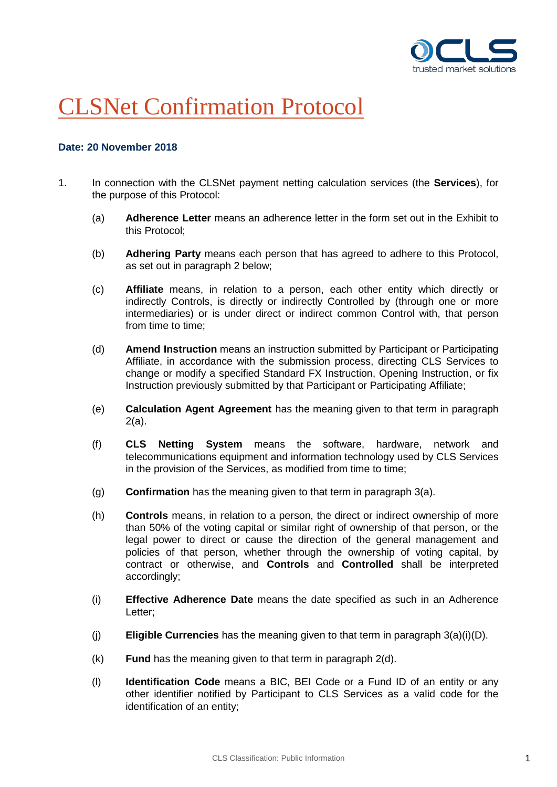

# CLSNet Confirmation Protocol

# **Date: 20 November 2018**

- 1. In connection with the CLSNet payment netting calculation services (the **Services**), for the purpose of this Protocol:
	- (a) **Adherence Letter** means an adherence letter in the form set out in the Exhibit to this Protocol;
	- (b) **Adhering Party** means each person that has agreed to adhere to this Protocol, as set out in paragraph [2](#page-2-0) below;
	- (c) **Affiliate** means, in relation to a person, each other entity which directly or indirectly Controls, is directly or indirectly Controlled by (through one or more intermediaries) or is under direct or indirect common Control with, that person from time to time;
	- (d) **Amend Instruction** means an instruction submitted by Participant or Participating Affiliate, in accordance with the submission process, directing CLS Services to change or modify a specified Standard FX Instruction, Opening Instruction, or fix Instruction previously submitted by that Participant or Participating Affiliate;
	- (e) **Calculation Agent Agreement** has the meaning given to that term in paragraph 2(a).
	- (f) **CLS Netting System** means the software, hardware, network and telecommunications equipment and information technology used by CLS Services in the provision of the Services, as modified from time to time;
	- (g) **Confirmation** has the meaning given to that term in paragraph 3(a).
	- (h) **Controls** means, in relation to a person, the direct or indirect ownership of more than 50% of the voting capital or similar right of ownership of that person, or the legal power to direct or cause the direction of the general management and policies of that person, whether through the ownership of voting capital, by contract or otherwise, and **Controls** and **Controlled** shall be interpreted accordingly;
	- (i) **Effective Adherence Date** means the date specified as such in an Adherence Letter;
	- (j) **Eligible Currencies** has the meaning given to that term in paragraph 3(a)(i)(D).
	- (k) **Fund** has the meaning given to that term in paragraph 2(d).
	- (l) **Identification Code** means a BIC, BEI Code or a Fund ID of an entity or any other identifier notified by Participant to CLS Services as a valid code for the identification of an entity;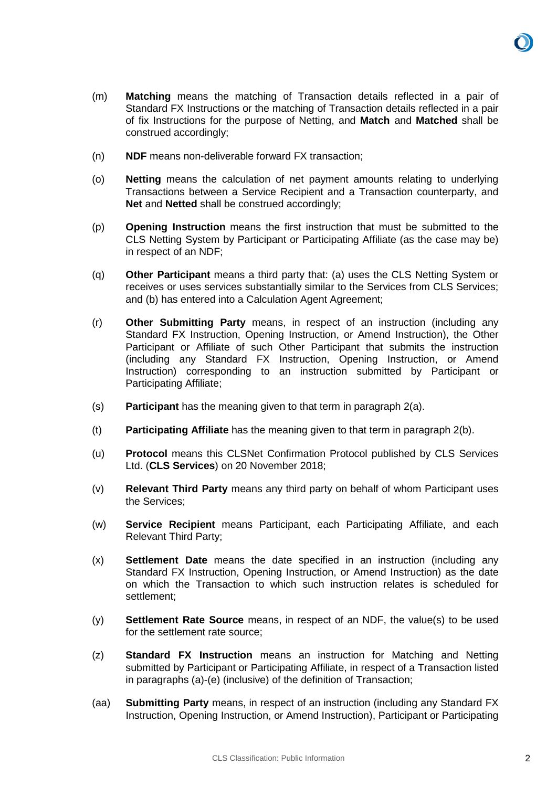

- (m) **Matching** means the matching of Transaction details reflected in a pair of Standard FX Instructions or the matching of Transaction details reflected in a pair of fix Instructions for the purpose of Netting, and **Match** and **Matched** shall be construed accordingly;
- (n) **NDF** means non-deliverable forward FX transaction;
- (o) **Netting** means the calculation of net payment amounts relating to underlying Transactions between a Service Recipient and a Transaction counterparty, and **Net** and **Netted** shall be construed accordingly;
- (p) **Opening Instruction** means the first instruction that must be submitted to the CLS Netting System by Participant or Participating Affiliate (as the case may be) in respect of an NDF;
- (q) **Other Participant** means a third party that: (a) uses the CLS Netting System or receives or uses services substantially similar to the Services from CLS Services; and (b) has entered into a Calculation Agent Agreement;
- (r) **Other Submitting Party** means, in respect of an instruction (including any Standard FX Instruction, Opening Instruction, or Amend Instruction), the Other Participant or Affiliate of such Other Participant that submits the instruction (including any Standard FX Instruction, Opening Instruction, or Amend Instruction) corresponding to an instruction submitted by Participant or Participating Affiliate;
- (s) **Participant** has the meaning given to that term in paragraph 2(a).
- (t) **Participating Affiliate** has the meaning given to that term in paragraph 2(b).
- (u) **Protocol** means this CLSNet Confirmation Protocol published by CLS Services Ltd. (**CLS Services**) on 20 November 2018;
- (v) **Relevant Third Party** means any third party on behalf of whom Participant uses the Services;
- (w) **Service Recipient** means Participant, each Participating Affiliate, and each Relevant Third Party;
- (x) **Settlement Date** means the date specified in an instruction (including any Standard FX Instruction, Opening Instruction, or Amend Instruction) as the date on which the Transaction to which such instruction relates is scheduled for settlement;
- (y) **Settlement Rate Source** means, in respect of an NDF, the value(s) to be used for the settlement rate source;
- (z) **Standard FX Instruction** means an instruction for Matching and Netting submitted by Participant or Participating Affiliate, in respect of a Transaction listed in paragraphs (a)-(e) (inclusive) of the definition of Transaction;
- (aa) **Submitting Party** means, in respect of an instruction (including any Standard FX Instruction, Opening Instruction, or Amend Instruction), Participant or Participating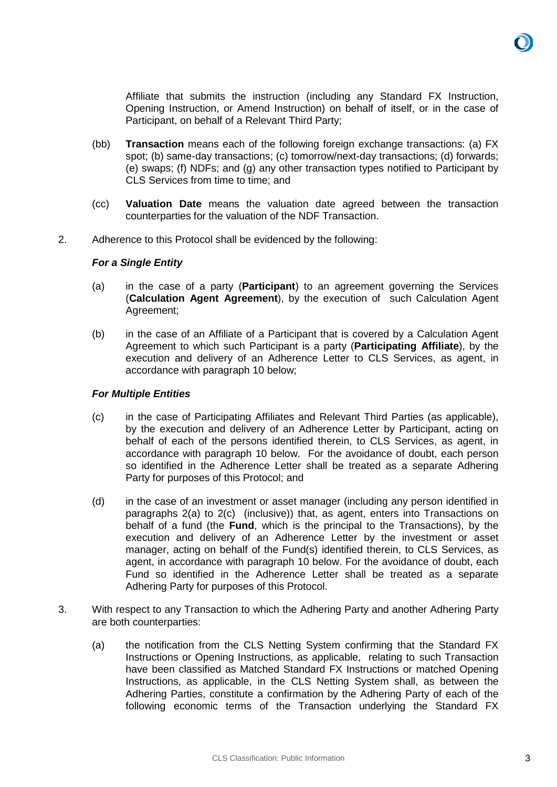

Affiliate that submits the instruction (including any Standard FX Instruction, Opening Instruction, or Amend Instruction) on behalf of itself, or in the case of Participant, on behalf of a Relevant Third Party;

- (bb) **Transaction** means each of the following foreign exchange transactions: (a) FX spot; (b) same-day transactions; (c) tomorrow/next-day transactions; (d) forwards; (e) swaps; (f) NDFs; and (g) any other transaction types notified to Participant by CLS Services from time to time; and
- (cc) **Valuation Date** means the valuation date agreed between the transaction counterparties for the valuation of the NDF Transaction.
- <span id="page-2-1"></span><span id="page-2-0"></span>2. Adherence to this Protocol shall be evidenced by the following:

#### *For a Single Entity*

- (a) in the case of a party (**Participant**) to an agreement governing the Services (**Calculation Agent Agreement**), by the execution of such Calculation Agent Agreement;
- (b) in the case of an Affiliate of a Participant that is covered by a Calculation Agent Agreement to which such Participant is a party (**Participating Affiliate**), by the execution and delivery of an Adherence Letter to CLS Services, as agent, in accordance with paragraph [10](#page-6-0) below;

#### *For Multiple Entities*

- (c) in the case of Participating Affiliates and Relevant Third Parties (as applicable), by the execution and delivery of an Adherence Letter by Participant, acting on behalf of each of the persons identified therein, to CLS Services, as agent, in accordance with paragraph [10](#page-6-0) below. For the avoidance of doubt, each person so identified in the Adherence Letter shall be treated as a separate Adhering Party for purposes of this Protocol; and
- (d) in the case of an investment or asset manager (including any person identified in paragraphs [2\(a\)](#page-2-1) to 2(c) (inclusive)) that, as agent, enters into Transactions on behalf of a fund (the **Fund**, which is the principal to the Transactions), by the execution and delivery of an Adherence Letter by the investment or asset manager, acting on behalf of the Fund(s) identified therein, to CLS Services, as agent, in accordance with paragraph [10](#page-6-0) below. For the avoidance of doubt, each Fund so identified in the Adherence Letter shall be treated as a separate Adhering Party for purposes of this Protocol.
- <span id="page-2-2"></span>3. With respect to any Transaction to which the Adhering Party and another Adhering Party are both counterparties:
	- (a) the notification from the CLS Netting System confirming that the Standard FX Instructions or Opening Instructions, as applicable, relating to such Transaction have been classified as Matched Standard FX Instructions or matched Opening Instructions, as applicable, in the CLS Netting System shall, as between the Adhering Parties, constitute a confirmation by the Adhering Party of each of the following economic terms of the Transaction underlying the Standard FX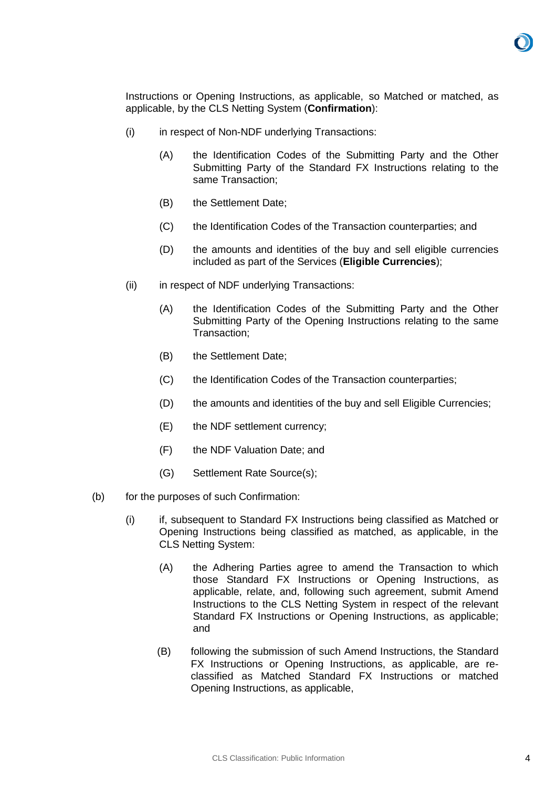

Instructions or Opening Instructions, as applicable, so Matched or matched, as applicable, by the CLS Netting System (**Confirmation**):

- (i) in respect of Non-NDF underlying Transactions:
	- (A) the Identification Codes of the Submitting Party and the Other Submitting Party of the Standard FX Instructions relating to the same Transaction;
	- (B) the Settlement Date;
	- (C) the Identification Codes of the Transaction counterparties; and
	- (D) the amounts and identities of the buy and sell eligible currencies included as part of the Services (**Eligible Currencies**);
- (ii) in respect of NDF underlying Transactions:
	- (A) the Identification Codes of the Submitting Party and the Other Submitting Party of the Opening Instructions relating to the same Transaction;
	- (B) the Settlement Date;
	- (C) the Identification Codes of the Transaction counterparties;
	- (D) the amounts and identities of the buy and sell Eligible Currencies;
	- (E) the NDF settlement currency;
	- (F) the NDF Valuation Date; and
	- (G) Settlement Rate Source(s);
- (b) for the purposes of such Confirmation:
	- (i) if, subsequent to Standard FX Instructions being classified as Matched or Opening Instructions being classified as matched, as applicable, in the CLS Netting System:
		- (A) the Adhering Parties agree to amend the Transaction to which those Standard FX Instructions or Opening Instructions, as applicable, relate, and, following such agreement, submit Amend Instructions to the CLS Netting System in respect of the relevant Standard FX Instructions or Opening Instructions, as applicable; and
		- (B) following the submission of such Amend Instructions, the Standard FX Instructions or Opening Instructions, as applicable, are reclassified as Matched Standard FX Instructions or matched Opening Instructions, as applicable,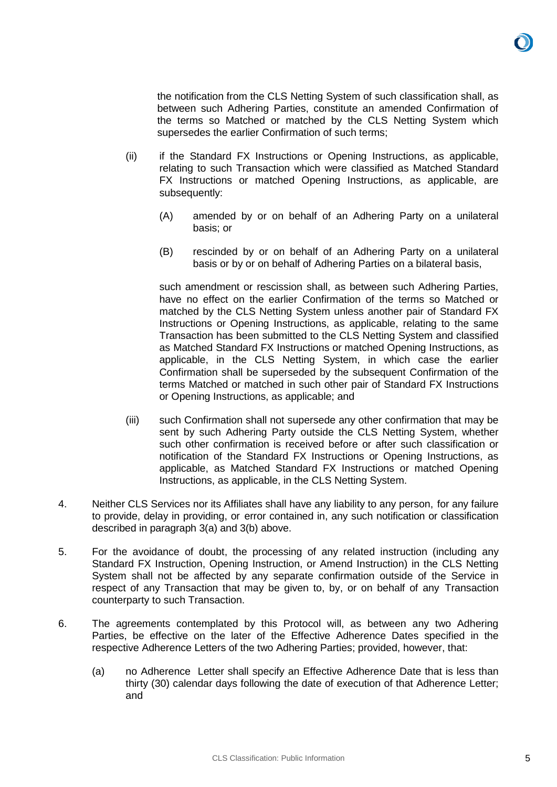

the notification from the CLS Netting System of such classification shall, as between such Adhering Parties, constitute an amended Confirmation of the terms so Matched or matched by the CLS Netting System which supersedes the earlier Confirmation of such terms;

- (ii) if the Standard FX Instructions or Opening Instructions, as applicable, relating to such Transaction which were classified as Matched Standard FX Instructions or matched Opening Instructions, as applicable, are subsequently:
	- (A) amended by or on behalf of an Adhering Party on a unilateral basis; or
	- (B) rescinded by or on behalf of an Adhering Party on a unilateral basis or by or on behalf of Adhering Parties on a bilateral basis,

such amendment or rescission shall, as between such Adhering Parties, have no effect on the earlier Confirmation of the terms so Matched or matched by the CLS Netting System unless another pair of Standard FX Instructions or Opening Instructions, as applicable, relating to the same Transaction has been submitted to the CLS Netting System and classified as Matched Standard FX Instructions or matched Opening Instructions, as applicable, in the CLS Netting System, in which case the earlier Confirmation shall be superseded by the subsequent Confirmation of the terms Matched or matched in such other pair of Standard FX Instructions or Opening Instructions, as applicable; and

- (iii) such Confirmation shall not supersede any other confirmation that may be sent by such Adhering Party outside the CLS Netting System, whether such other confirmation is received before or after such classification or notification of the Standard FX Instructions or Opening Instructions, as applicable, as Matched Standard FX Instructions or matched Opening Instructions, as applicable, in the CLS Netting System.
- 4. Neither CLS Services nor its Affiliates shall have any liability to any person, for any failure to provide, delay in providing, or error contained in, any such notification or classification described in paragraph [3\(a\)](#page-2-2) and 3(b) above.
- 5. For the avoidance of doubt, the processing of any related instruction (including any Standard FX Instruction, Opening Instruction, or Amend Instruction) in the CLS Netting System shall not be affected by any separate confirmation outside of the Service in respect of any Transaction that may be given to, by, or on behalf of any Transaction counterparty to such Transaction.
- 6. The agreements contemplated by this Protocol will, as between any two Adhering Parties, be effective on the later of the Effective Adherence Dates specified in the respective Adherence Letters of the two Adhering Parties; provided, however, that:
	- (a) no Adherence Letter shall specify an Effective Adherence Date that is less than thirty (30) calendar days following the date of execution of that Adherence Letter; and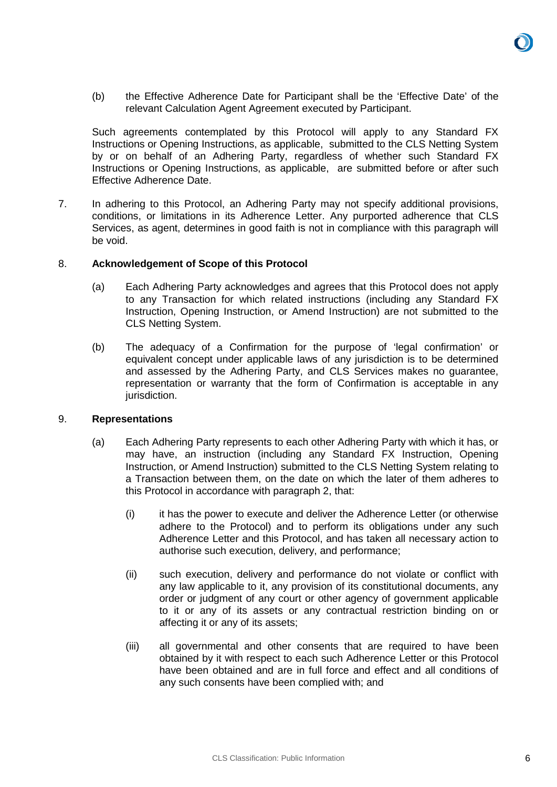(b) the Effective Adherence Date for Participant shall be the 'Effective Date' of the relevant Calculation Agent Agreement executed by Participant.

Such agreements contemplated by this Protocol will apply to any Standard FX Instructions or Opening Instructions, as applicable, submitted to the CLS Netting System by or on behalf of an Adhering Party, regardless of whether such Standard FX Instructions or Opening Instructions, as applicable, are submitted before or after such Effective Adherence Date.

7. In adhering to this Protocol, an Adhering Party may not specify additional provisions, conditions, or limitations in its Adherence Letter. Any purported adherence that CLS Services, as agent, determines in good faith is not in compliance with this paragraph will be void.

### 8. **Acknowledgement of Scope of this Protocol**

- (a) Each Adhering Party acknowledges and agrees that this Protocol does not apply to any Transaction for which related instructions (including any Standard FX Instruction, Opening Instruction, or Amend Instruction) are not submitted to the CLS Netting System.
- (b) The adequacy of a Confirmation for the purpose of 'legal confirmation' or equivalent concept under applicable laws of any jurisdiction is to be determined and assessed by the Adhering Party, and CLS Services makes no guarantee, representation or warranty that the form of Confirmation is acceptable in any jurisdiction.

#### 9. **Representations**

- (a) Each Adhering Party represents to each other Adhering Party with which it has, or may have, an instruction (including any Standard FX Instruction, Opening Instruction, or Amend Instruction) submitted to the CLS Netting System relating to a Transaction between them, on the date on which the later of them adheres to this Protocol in accordance with paragraph [2,](#page-2-0) that:
	- (i) it has the power to execute and deliver the Adherence Letter (or otherwise adhere to the Protocol) and to perform its obligations under any such Adherence Letter and this Protocol, and has taken all necessary action to authorise such execution, delivery, and performance;
	- (ii) such execution, delivery and performance do not violate or conflict with any law applicable to it, any provision of its constitutional documents, any order or judgment of any court or other agency of government applicable to it or any of its assets or any contractual restriction binding on or affecting it or any of its assets;
	- (iii) all governmental and other consents that are required to have been obtained by it with respect to each such Adherence Letter or this Protocol have been obtained and are in full force and effect and all conditions of any such consents have been complied with; and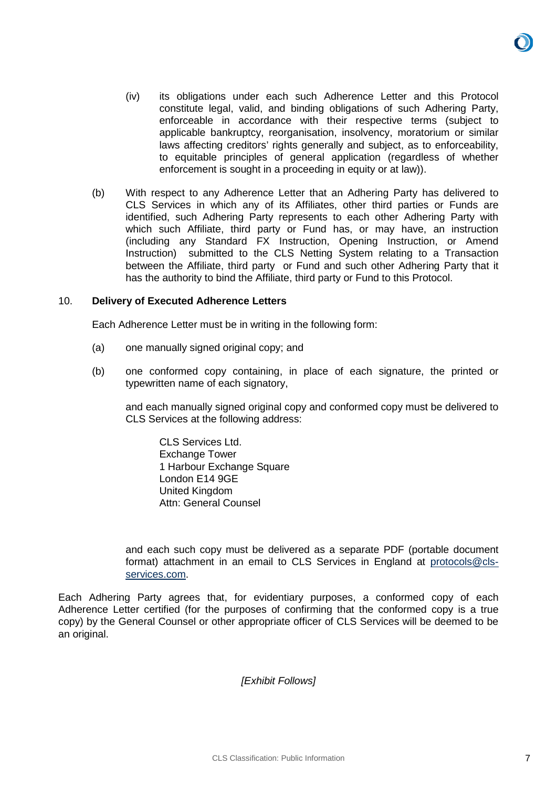- (iv) its obligations under each such Adherence Letter and this Protocol constitute legal, valid, and binding obligations of such Adhering Party, enforceable in accordance with their respective terms (subject to applicable bankruptcy, reorganisation, insolvency, moratorium or similar laws affecting creditors' rights generally and subject, as to enforceability, to equitable principles of general application (regardless of whether enforcement is sought in a proceeding in equity or at law)).
- (b) With respect to any Adherence Letter that an Adhering Party has delivered to CLS Services in which any of its Affiliates, other third parties or Funds are identified, such Adhering Party represents to each other Adhering Party with which such Affiliate, third party or Fund has, or may have, an instruction (including any Standard FX Instruction, Opening Instruction, or Amend Instruction) submitted to the CLS Netting System relating to a Transaction between the Affiliate, third party or Fund and such other Adhering Party that it has the authority to bind the Affiliate, third party or Fund to this Protocol.

### <span id="page-6-0"></span>10. **Delivery of Executed Adherence Letters**

Each Adherence Letter must be in writing in the following form:

- (a) one manually signed original copy; and
- (b) one conformed copy containing, in place of each signature, the printed or typewritten name of each signatory,

and each manually signed original copy and conformed copy must be delivered to CLS Services at the following address:

CLS Services Ltd. Exchange Tower 1 Harbour Exchange Square London E14 9GE United Kingdom Attn: General Counsel

and each such copy must be delivered as a separate PDF (portable document format) attachment in an email to CLS Services in England at [protocols@cls](mailto:protocols@cls-services.com)[services.com.](mailto:protocols@cls-services.com)

Each Adhering Party agrees that, for evidentiary purposes, a conformed copy of each Adherence Letter certified (for the purposes of confirming that the conformed copy is a true copy) by the General Counsel or other appropriate officer of CLS Services will be deemed to be an original.

*[Exhibit Follows]*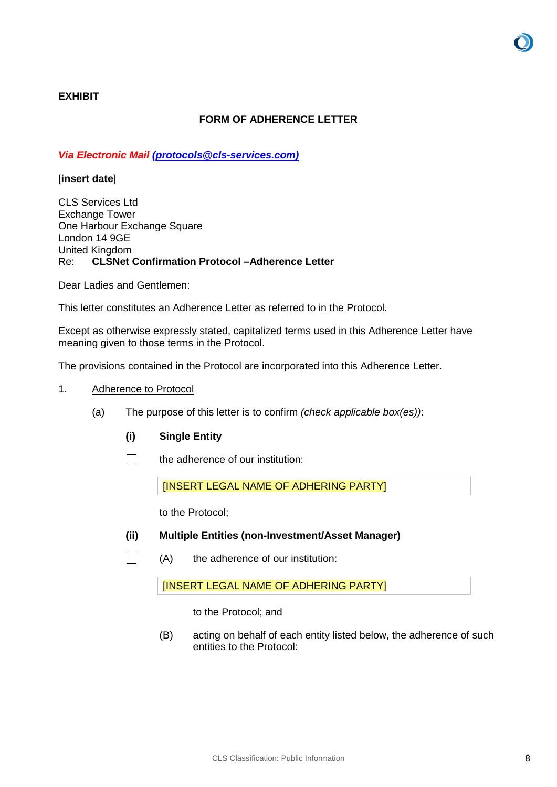# **EXHIBIT**

# **FORM OF ADHERENCE LETTER**

### *Via Electronic Mail [\(protocols@cls-services.com\)](mailto:protocols@cls-services.com)*

### [**insert date**]

CLS Services Ltd Exchange Tower One Harbour Exchange Square London 14 9GE United Kingdom Re: **CLSNet Confirmation Protocol –Adherence Letter** 

Dear Ladies and Gentlemen:

This letter constitutes an Adherence Letter as referred to in the Protocol.

Except as otherwise expressly stated, capitalized terms used in this Adherence Letter have meaning given to those terms in the Protocol.

The provisions contained in the Protocol are incorporated into this Adherence Letter.

- 1. Adherence to Protocol
	- (a) The purpose of this letter is to confirm *(check applicable box(es))*:
		- **(i) Single Entity**
		- $\Box$ the adherence of our institution:

[INSERT LEGAL NAME OF ADHERING PARTY]

to the Protocol;

- **(ii) Multiple Entities (non-Investment/Asset Manager)**
- $\Box$ (A) the adherence of our institution:

[INSERT LEGAL NAME OF ADHERING PARTY]

to the Protocol; and

(B) acting on behalf of each entity listed below, the adherence of such entities to the Protocol: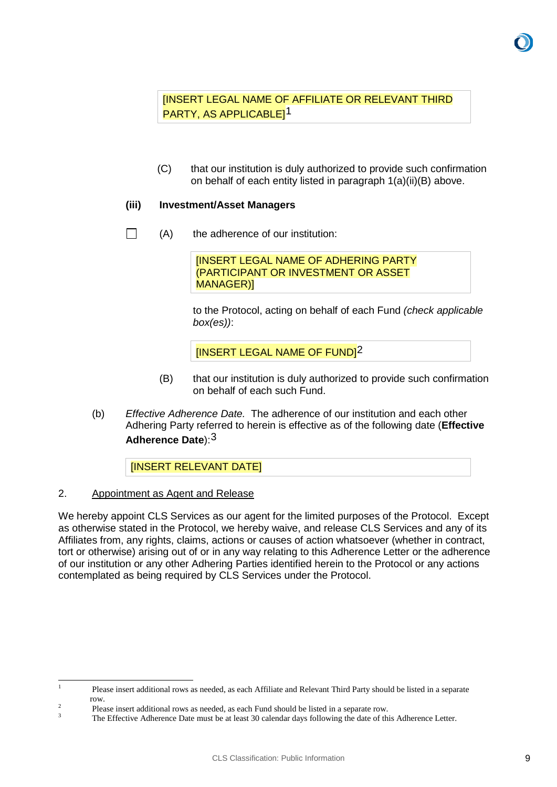[INSERT LEGAL NAME OF AFFILIATE OR RELEVANT THIRD PARTY, AS APPLICABLE][1](#page-8-0)

(C) that our institution is duly authorized to provide such confirmation on behalf of each entity listed in paragraph 1(a)(ii)(B) above.

# **(iii) Investment/Asset Managers**

 $\Box$ (A) the adherence of our institution:

> [INSERT LEGAL NAME OF ADHERING PARTY (PARTICIPANT OR INVESTMENT OR ASSET MANAGER)]

to the Protocol, acting on behalf of each Fund *(check applicable box(es))*:

[INSERT LEGAL NAME OF FUND][2](#page-8-1)

- (B) that our institution is duly authorized to provide such confirmation on behalf of each such Fund.
- (b) *Effective Adherence Date.* The adherence of our institution and each other Adhering Party referred to herein is effective as of the following date (**Effective Adherence Date**):[3](#page-8-2)

[INSERT RELEVANT DATE]

# 2. Appointment as Agent and Release

We hereby appoint CLS Services as our agent for the limited purposes of the Protocol. Except as otherwise stated in the Protocol, we hereby waive, and release CLS Services and any of its Affiliates from, any rights, claims, actions or causes of action whatsoever (whether in contract, tort or otherwise) arising out of or in any way relating to this Adherence Letter or the adherence of our institution or any other Adhering Parties identified herein to the Protocol or any actions contemplated as being required by CLS Services under the Protocol.

<span id="page-8-0"></span><sup>&</sup>lt;sup>1</sup> Please insert additional rows as needed, as each Affiliate and Relevant Third Party should be listed in a separate row.<br>
2 Please insert additional rows as needed, as each Fund should be listed in a separate row.<br>
3 The Effective Adherence Date must be at least 30 calendar days following the date of this Adherence Letter.

<span id="page-8-1"></span>

<span id="page-8-2"></span>